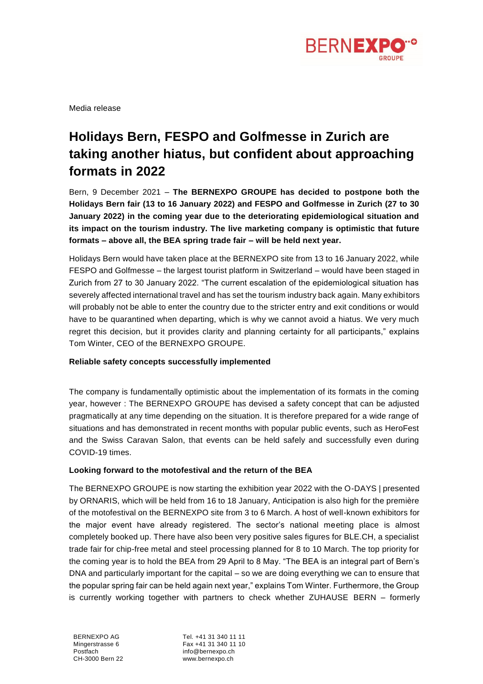

Media release

# **Holidays Bern, FESPO and Golfmesse in Zurich are taking another hiatus, but confident about approaching formats in 2022**

Bern, 9 December 2021 – **The BERNEXPO GROUPE has decided to postpone both the Holidays Bern fair (13 to 16 January 2022) and FESPO and Golfmesse in Zurich (27 to 30 January 2022) in the coming year due to the deteriorating epidemiological situation and its impact on the tourism industry. The live marketing company is optimistic that future formats – above all, the BEA spring trade fair – will be held next year.** 

Holidays Bern would have taken place at the BERNEXPO site from 13 to 16 January 2022, while FESPO and Golfmesse – the largest tourist platform in Switzerland – would have been staged in Zurich from 27 to 30 January 2022. "The current escalation of the epidemiological situation has severely affected international travel and has set the tourism industry back again. Many exhibitors will probably not be able to enter the country due to the stricter entry and exit conditions or would have to be quarantined when departing, which is why we cannot avoid a hiatus. We very much regret this decision, but it provides clarity and planning certainty for all participants," explains Tom Winter, CEO of the BERNEXPO GROUPE.

### **Reliable safety concepts successfully implemented**

The company is fundamentally optimistic about the implementation of its formats in the coming year, however : The BERNEXPO GROUPE has devised a safety concept that can be adjusted pragmatically at any time depending on the situation. It is therefore prepared for a wide range of situations and has demonstrated in recent months with popular public events, such as HeroFest and the Swiss Caravan Salon, that events can be held safely and successfully even during COVID-19 times.

### **Looking forward to the motofestival and the return of the BEA**

The BERNEXPO GROUPE is now starting the exhibition year 2022 with the O-DAYS | presented by ORNARIS, which will be held from 16 to 18 January, Anticipation is also high for the première of the motofestival on the BERNEXPO site from 3 to 6 March. A host of well-known exhibitors for the major event have already registered. The sector's national meeting place is almost completely booked up. There have also been very positive sales figures for BLE.CH, a specialist trade fair for chip-free metal and steel processing planned for 8 to 10 March. The top priority for the coming year is to hold the BEA from 29 April to 8 May. "The BEA is an integral part of Bern's DNA and particularly important for the capital – so we are doing everything we can to ensure that the popular spring fair can be held again next year," explains Tom Winter. Furthermore, the Group is currently working together with partners to check whether ZUHAUSE BERN – formerly

Tel. +41 31 340 11 11 Fax +41 31 340 11 10 info@bernexpo.ch www.bernexpo.ch